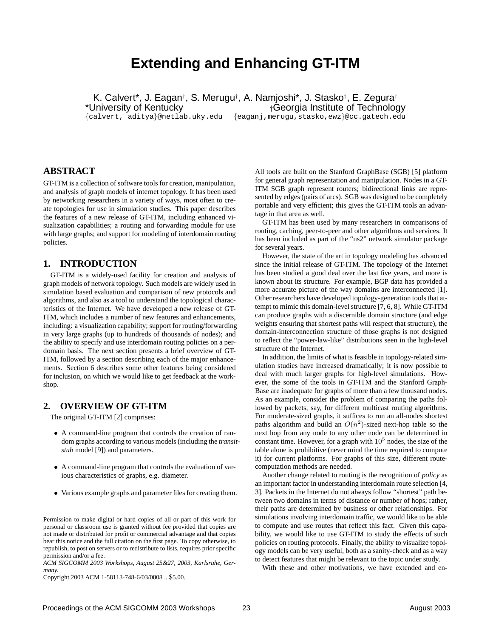# **Extending and Enhancing GT-ITM**

K. Calvert\*, J. Eagan<sup>†</sup>, S. Merugu<sup>†</sup>, A. Namjoshi\*, J. Stasko<sup>†</sup>, E. Zegura† \*University of Kentucky **the Contract of Technology** +Georgia Institute of Technology

{calvert, aditya}@netlab.uky.edu {eaganj,merugu,stasko,ewz}@cc.gatech.edu

# **ABSTRACT**

GT-ITM is a collection of software tools for creation, manipulation, and analysis of graph models of internet topology. It has been used by networking researchers in a variety of ways, most often to create topologies for use in simulation studies. This paper describes the features of a new release of GT-ITM, including enhanced visualization capabilities; a routing and forwarding module for use with large graphs; and support for modeling of interdomain routing policies.

## **1. INTRODUCTION**

GT-ITM is a widely-used facility for creation and analysis of graph models of network topology. Such models are widely used in simulation based evaluation and comparison of new protocols and algorithms, and also as a tool to understand the topological characteristics of the Internet. We have developed a new release of GT-ITM, which includes a number of new features and enhancements, including: a visualization capability; support for routing/forwarding in very large graphs (up to hundreds of thousands of nodes); and the ability to specify and use interdomain routing policies on a perdomain basis. The next section presents a brief overview of GT-ITM, followed by a section describing each of the major enhancements. Section 6 describes some other features being considered for inclusion, on which we would like to get feedback at the workshop.

#### **2. OVERVIEW OF GT-ITM**

The original GT-ITM [2] comprises:

- A command-line program that controls the creation of random graphs according to various models (including the *transitstub* model [9]) and parameters.
- A command-line program that controls the evaluation of various characteristics of graphs, e.g. diameter.
- Various example graphs and parameter files for creating them.

Permission to make digital or hard copies of all or part of this work for personal or classroom use is granted without fee provided that copies are not made or distributed for profit or commercial advantage and that copies bear this notice and the full citation on the first page. To copy otherwise, to republish, to post on servers or to redistribute to lists, requires prior specific permission and/or a fee.

*ACM SIGCOMM 2003 Workshops, August 25&27, 2003, Karlsruhe, Germany.*

Copyright 2003 ACM 1-58113-748-6/03/0008 ...\$5.00.

All tools are built on the Stanford GraphBase (SGB) [5] platform for general graph representation and manipulation. Nodes in a GT-ITM SGB graph represent routers; bidirectional links are represented by edges (pairs of arcs). SGB was designed to be completely portable and very efficient; this gives the GT-ITM tools an advantage in that area as well.

GT-ITM has been used by many researchers in comparisons of routing, caching, peer-to-peer and other algorithms and services. It has been included as part of the "ns2" network simulator package for several years.

However, the state of the art in topology modeling has advanced since the initial release of GT-ITM. The topology of the Internet has been studied a good deal over the last five years, and more is known about its structure. For example, BGP data has provided a more accurate picture of the way domains are interconnected [1]. Other researchers have developed topology-generation tools that attempt to mimic this domain-level structure [7, 6, 8]. While GT-ITM can produce graphs with a discernible domain structure (and edge weights ensuring that shortest paths will respect that structure), the domain-interconnection structure of those graphs is not designed to reflect the "power-law-like" distributions seen in the high-level structure of the Internet.

In addition, the limits of what is feasible in topology-related simulation studies have increased dramatically; it is now possible to deal with much larger graphs for high-level simulations. However, the some of the tools in GT-ITM and the Stanford Graph-Base are inadequate for graphs of more than a few thousand nodes. As an example, consider the problem of comparing the paths followed by packets, say, for different multicast routing algorithms. For moderate-sized graphs, it suffices to run an all-nodes shortest paths algorithm and build an  $O(n^2)$ -sized next-hop table so the next hop from any node to any other node can be determined in constant time. However, for a graph with  $10<sup>5</sup>$  nodes, the size of the table alone is prohibitive (never mind the time required to compute it) for current platforms. For graphs of this size, different routecomputation methods are needed.

Another change related to routing is the recognition of *policy* as an important factor in understanding interdomain route selection [4, 3]. Packets in the Internet do not always follow "shortest" path between two domains in terms of distance or number of hops; rather, their paths are determined by business or other relationships. For simulations involving interdomain traffic, we would like to be able to compute and use routes that reflect this fact. Given this capability, we would like to use GT-ITM to study the effects of such policies on routing protocols. Finally, the ability to visualize topology models can be very useful, both as a sanity-check and as a way to detect features that might be relevant to the topic under study.

With these and other motivations, we have extended and en-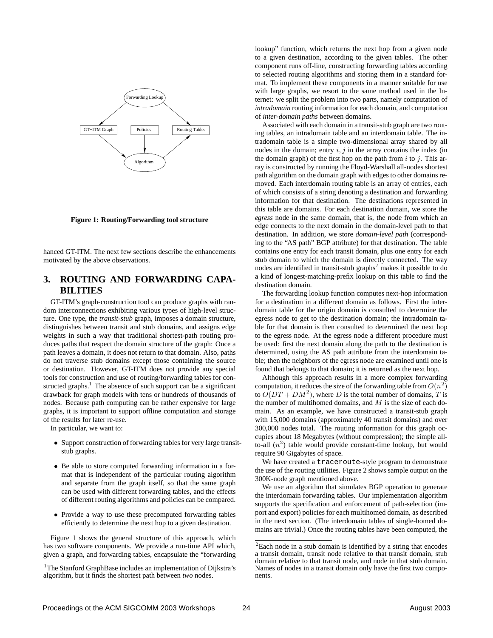

#### **Figure 1: Routing/Forwarding tool structure**

hanced GT-ITM. The next few sections describe the enhancements motivated by the above observations.

# **3. ROUTING AND FORWARDING CAPA-BILITIES**

GT-ITM's graph-construction tool can produce graphs with random interconnections exhibiting various types of high-level structure. One type, the *transit-stub* graph, imposes a domain structure, distinguishes between transit and stub domains, and assigns edge weights in such a way that traditional shortest-path routing produces paths that respect the domain structure of the graph: Once a path leaves a domain, it does not return to that domain. Also, paths do not traverse stub domains except those containing the source or destination. However, GT-ITM does not provide any special tools for construction and use of routing/forwarding tables for constructed graphs.<sup>1</sup> The absence of such support can be a significant drawback for graph models with tens or hundreds of thousands of nodes. Because path computing can be rather expensive for large graphs, it is important to support offline computation and storage of the results for later re-use.

In particular, we want to:

- Support construction of forwarding tables for very large transitstub graphs.
- Be able to store computed forwarding information in a format that is independent of the particular routing algorithm and separate from the graph itself, so that the same graph can be used with different forwarding tables, and the effects of different routing algorithms and policies can be compared.
- Provide a way to use these precomputed forwarding tables efficiently to determine the next hop to a given destination.

Figure 1 shows the general structure of this approach, which has two software components. We provide a run-time API which, given a graph, and forwarding tables, encapsulate the "forwarding lookup" function, which returns the next hop from a given node to a given destination, according to the given tables. The other component runs off-line, constructing forwarding tables according to selected routing algorithms and storing them in a standard format. To implement these components in a manner suitable for use with large graphs, we resort to the same method used in the Internet: we split the problem into two parts, namely computation of *intradomain* routing information for each domain, and computation of *inter-domain paths* between domains.

Associated with each domain in a transit-stub graph are two routing tables, an intradomain table and an interdomain table. The intradomain table is a simple two-dimensional array shared by all nodes in the domain; entry  $i, j$  in the array contains the index (in the domain graph) of the first hop on the path from  $i$  to  $j$ . This array is constructed by running the Floyd-Warshall all-nodes shortest path algorithm on the domain graph with edges to other domains removed. Each interdomain routing table is an array of entries, each of which consists of a string denoting a destination and forwarding information for that destination. The destinations represented in this table are domains. For each destination domain, we store the *egress* node in the same domain, that is, the node from which an edge connects to the next domain in the domain-level path to that destination. In addition, we store *domain-level path* (corresponding to the "AS path" BGP attribute) for that destination. The table contains one entry for each transit domain, plus one entry for each stub domain to which the domain is directly connected. The way nodes are identified in transit-stub graphs $2$  makes it possible to do a kind of longest-matching-prefix lookup on this table to find the destination domain.

The forwarding lookup function computes next-hop information for a destination in a different domain as follows. First the interdomain table for the origin domain is consulted to determine the egress node to get to the destination domain; the intradomain table for that domain is then consulted to determined the next hop to the egress node. At the egress node a different procedure must be used: first the next domain along the path to the destination is determined, using the AS path attribute from the interdomain table; then the neighbors of the egress node are examined until one is found that belongs to that domain; it is returned as the next hop.

Although this approach results in a more complex forwarding computation, it reduces the size of the forwarding table from  $O(n^2)$ to  $O(DT + DM^2)$ , where D is the total number of domains, T is the number of multihomed domains, and  $M$  is the size of each domain. As an example, we have constructed a transit-stub graph with 15,000 domains (approximately 40 transit domains) and over 300,000 nodes total. The routing information for this graph occupies about 18 Megabytes (without compression); the simple allto-all  $(n^2)$  table would provide constant-time lookup, but would require 90 Gigabytes of space.

We have created a traceroute-style program to demonstrate the use of the routing utilities. Figure 2 shows sample output on the 300K-node graph mentioned above.

We use an algorithm that simulates BGP operation to generate the interdomain forwarding tables. Our implementation algorithm supports the specification and enforcement of path-selection (import and export) policies for each multihomed domain, as described in the next section. (The interdomain tables of single-homed domains are trivial.) Once the routing tables have been computed, the

<sup>&</sup>lt;sup>1</sup>The Stanford GraphBase includes an implementation of Dijkstra's algorithm, but it finds the shortest path between *two* nodes.

<sup>&</sup>lt;sup>2</sup>Each node in a stub domain is identified by a string that encodes a transit domain, transit node relative to that transit domain, stub domain relative to that transit node, and node in that stub domain. Names of nodes in a transit domain only have the first two components.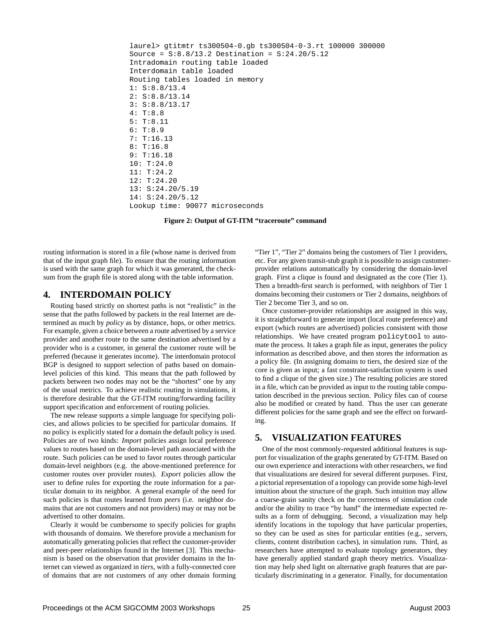```
laurel> gtitmtr ts300504-0.gb ts300504-0-3.rt 100000 300000
Source = S:8.8/13.2 Destination = S:24.20/5.12
Intradomain routing table loaded
Interdomain table loaded
Routing tables loaded in memory
1: S:8.8/13.4
2: S:8.8/13.14
3: S:8.8/13.17
4: T:8.8
5: T:8.11
6: T:8.9
7: T:16.13
8: T:16.8
9: T:16.18
10: T:24.0
11: T:24.2
12: T:24.20
13: S:24.20/5.19
14: S:24.20/5.12
Lookup time: 90077 microseconds
```
**Figure 2: Output of GT-ITM "traceroute" command**

routing information is stored in a file (whose name is derived from that of the input graph file). To ensure that the routing information is used with the same graph for which it was generated, the checksum from the graph file is stored along with the table information.

## **4. INTERDOMAIN POLICY**

Routing based strictly on shortest paths is not "realistic" in the sense that the paths followed by packets in the real Internet are determined as much by *policy* as by distance, hops, or other metrics. For example, given a choice between a route advertised by a service provider and another route to the same destination advertised by a provider who is a customer, in general the customer route will be preferred (because it generates income). The interdomain protocol BGP is designed to support selection of paths based on domainlevel policies of this kind. This means that the path followed by packets between two nodes may not be the "shortest" one by any of the usual metrics. To achieve realistic routing in simulations, it is therefore desirable that the GT-ITM routing/forwarding facility support specification and enforcement of routing policies.

The new release supports a simple language for specifying policies, and allows policies to be specified for particular domains. If no policy is explicitly stated for a domain the default policy is used. Policies are of two kinds: *Import* policies assign local preference values to routes based on the domain-level path associated with the route. Such policies can be used to favor routes through particular domain-level neighbors (e.g. the above-mentioned preference for customer routes over provider routes). *Export* policies allow the user to define rules for exporting the route information for a particular domain to its neighbor. A general example of the need for such policies is that routes learned from *peers* (i.e. neighbor domains that are not customers and not providers) may or may not be advertised to other domains.

Clearly it would be cumbersome to specify policies for graphs with thousands of domains. We therefore provide a mechanism for automatically generating policies that reflect the customer-provider and peer-peer relationships found in the Internet [3]. This mechanism is based on the observation that provider domains in the Internet can viewed as organized in *tiers*, with a fully-connected core of domains that are not customers of any other domain forming "Tier 1", "Tier 2" domains being the customers of Tier 1 providers, etc. For any given transit-stub graph it is possible to assign customerprovider relations automatically by considering the domain-level graph. First a clique is found and designated as the core (Tier 1). Then a breadth-first search is performed, with neighbors of Tier 1 domains becoming their customers or Tier 2 domains, neighbors of Tier 2 become Tier 3, and so on.

Once customer-provider relationships are assigned in this way, it is straightforward to generate import (local route preference) and export (which routes are advertised) policies consistent with those relationships. We have created program policytool to automate the process. It takes a graph file as input, generates the policy information as described above, and then stores the information as a policy file. (In assigning domains to tiers, the desired size of the core is given as input; a fast constraint-satisfaction system is used to find a clique of the given size.) The resulting policies are stored in a file, which can be provided as input to the routing table computation described in the previous section. Policy files can of course also be modified or created by hand. Thus the user can generate different policies for the same graph and see the effect on forwarding.

# **5. VISUALIZATION FEATURES**

One of the most commonly-requested additional features is support for visualization of the graphs generated by GT-ITM. Based on our own experience and interactions with other researchers, we find that visualizations are desired for several different purposes. First, a pictorial representation of a topology can provide some high-level intuition about the structure of the graph. Such intuition may allow a coarse-grain sanity check on the correctness of simulation code and/or the ability to trace "by hand" the intermediate expected results as a form of debugging. Second, a visualization may help identify locations in the topology that have particular properties, so they can be used as sites for particular entities (e.g., servers, clients, content distribution caches), in simulation runs. Third, as researchers have attempted to evaluate topology generators, they have generally applied standard graph theory metrics. Visualization may help shed light on alternative graph features that are particularly discriminating in a generator. Finally, for documentation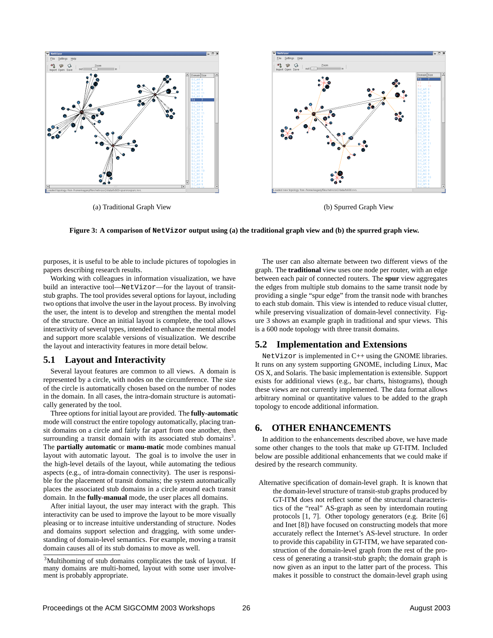

**Figure 3: A comparison of NetVizor output using (a) the traditional graph view and (b) the spurred graph view.**

purposes, it is useful to be able to include pictures of topologies in papers describing research results.

Working with colleagues in information visualization, we have build an interactive tool—NetVizor—for the layout of transitstub graphs. The tool provides several options for layout, including two options that involve the user in the layout process. By involving the user, the intent is to develop and strengthen the mental model of the structure. Once an initial layout is complete, the tool allows interactivity of several types, intended to enhance the mental model and support more scalable versions of visualization. We describe the layout and interactivity features in more detail below.

#### **5.1 Layout and Interactivity**

Several layout features are common to all views. A domain is represented by a circle, with nodes on the circumference. The size of the circle is automatically chosen based on the number of nodes in the domain. In all cases, the intra-domain structure is automatically generated by the tool.

Three options for initial layout are provided. The **fully-automatic** mode will construct the entire topology automatically, placing transit domains on a circle and fairly far apart from one another, then surrounding a transit domain with its associated stub domains<sup>3</sup>. The **partially automatic** or **manu-matic** mode combines manual layout with automatic layout. The goal is to involve the user in the high-level details of the layout, while automating the tedious aspects (e.g., of intra-domain connectivity). The user is responsible for the placement of transit domains; the system automatically places the associated stub domains in a circle around each transit domain. In the **fully-manual** mode, the user places all domains.

After initial layout, the user may interact with the graph. This interactivity can be used to improve the layout to be more visually pleasing or to increase intuitive understanding of structure. Nodes and domains support selection and dragging, with some understanding of domain-level semantics. For example, moving a transit domain causes all of its stub domains to move as well.

The user can also alternate between two different views of the graph. The **traditional** view uses one node per router, with an edge between each pair of connected routers. The **spur** view aggregates the edges from multiple stub domains to the same transit node by providing a single "spur edge" from the transit node with branches to each stub domain. This view is intended to reduce visual clutter, while preserving visualization of domain-level connectivity. Figure 3 shows an example graph in traditional and spur views. This is a 600 node topology with three transit domains.

#### **5.2 Implementation and Extensions**

NetVizor is implemented in C++ using the GNOME libraries. It runs on any system supporting GNOME, including Linux, Mac OS X, and Solaris. The basic implementation is extensible. Support exists for additional views (e.g., bar charts, histograms), though these views are not currently implemented. The data format allows arbitrary nominal or quantitative values to be added to the graph topology to encode additional information.

#### **6. OTHER ENHANCEMENTS**

In addition to the enhancements described above, we have made some other changes to the tools that make up GT-ITM. Included below are possible additional enhancements that we could make if desired by the research community.

Alternative specification of domain-level graph. It is known that the domain-level structure of transit-stub graphs produced by GT-ITM does not reflect some of the structural characteristics of the "real" AS-graph as seen by interdomain routing protocols [1, 7]. Other topology generators (e.g. Brite [6] and Inet [8]) have focused on constructing models that more accurately reflect the Internet's AS-level structure. In order to provide this capability in GT-ITM, we have separated construction of the domain-level graph from the rest of the process of generating a transit-stub graph; the domain graph is now given as an input to the latter part of the process. This makes it possible to construct the domain-level graph using

<sup>&</sup>lt;sup>3</sup>Multihoming of stub domains complicates the task of layout. If many domains are multi-homed, layout with some user involvement is probably appropriate.